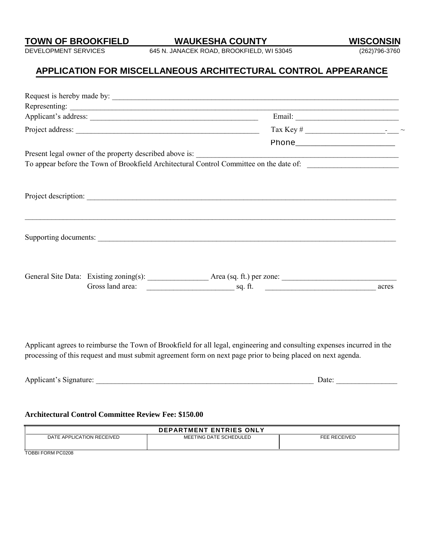DEVELOPMENT SERVICES 645 N. JANACEK ROAD, BROOKFIELD, WI 53045 (262)796-3760

# **APPLICATION FOR MISCELLANEOUS ARCHITECTURAL CONTROL APPEARANCE**

|  | To appear before the Town of Brookfield Architectural Control Committee on the date of:                                 |  |
|--|-------------------------------------------------------------------------------------------------------------------------|--|
|  |                                                                                                                         |  |
|  |                                                                                                                         |  |
|  |                                                                                                                         |  |
|  |                                                                                                                         |  |
|  | ,我们也不能在这里的人,我们也不能在这里的人,我们也不能在这里的人,我们也不能在这里的人,我们也不能在这里的人,我们也不能在这里的人,我们也不能在这里的人,我们也                                       |  |
|  |                                                                                                                         |  |
|  |                                                                                                                         |  |
|  |                                                                                                                         |  |
|  |                                                                                                                         |  |
|  |                                                                                                                         |  |
|  |                                                                                                                         |  |
|  |                                                                                                                         |  |
|  |                                                                                                                         |  |
|  |                                                                                                                         |  |
|  | Applicant agrees to reimburse the Town of Brookfield for all legal, engineering and consulting expenses incurred in the |  |
|  | processing of this request and must submit agreement form on next page prior to being placed on next agenda.            |  |
|  |                                                                                                                         |  |

| .<br>-<br>--- | <u>ия на </u> |  |
|---------------|---------------|--|
|               |               |  |

#### **Architectural Control Committee Review Fee: \$150.00**

| <b>DEPARTMENT ENTRIES ONLY</b> |                        |              |  |
|--------------------------------|------------------------|--------------|--|
| DATE APPLICATION RECEIVED      | MEETING DATE SCHEDULED | FEE RECEIVED |  |
| <b>TODDLEODM DO0000</b>        |                        |              |  |

TOBBI FORM PC0208